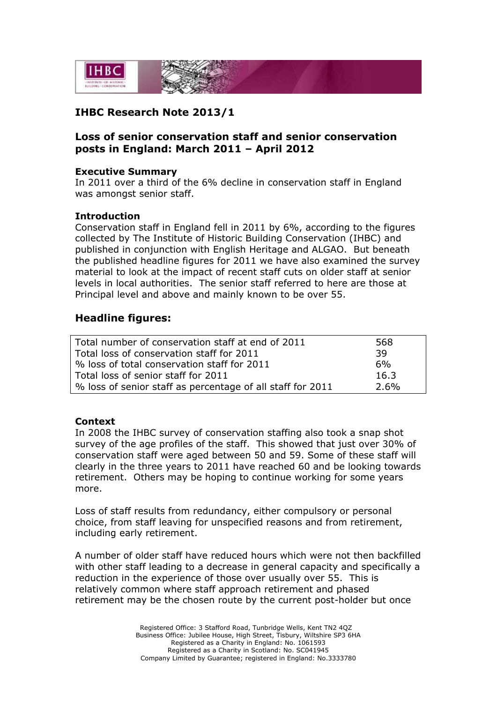

# **IHBC Research Note 2013/1**

## **Loss of senior conservation staff and senior conservation posts in England: March 2011 – April 2012**

#### **Executive Summary**

In 2011 over a third of the 6% decline in conservation staff in England was amongst senior staff.

### **Introduction**

Conservation staff in England fell in 2011 by 6%, according to the figures collected by The Institute of Historic Building Conservation (IHBC) and published in conjunction with English Heritage and ALGAO. But beneath the published headline figures for 2011 we have also examined the survey material to look at the impact of recent staff cuts on older staff at senior levels in local authorities. The senior staff referred to here are those at Principal level and above and mainly known to be over 55.

### **Headline figures:**

| Total number of conservation staff at end of 2011          | 568     |
|------------------------------------------------------------|---------|
| Total loss of conservation staff for 2011                  | -39     |
| % loss of total conservation staff for 2011                | 6%      |
| Total loss of senior staff for 2011                        | 16.3    |
| % loss of senior staff as percentage of all staff for 2011 | $2.6\%$ |

#### **Context**

In 2008 the IHBC survey of conservation staffing also took a snap shot survey of the age profiles of the staff. This showed that just over 30% of conservation staff were aged between 50 and 59. Some of these staff will clearly in the three years to 2011 have reached 60 and be looking towards retirement. Others may be hoping to continue working for some years more.

Loss of staff results from redundancy, either compulsory or personal choice, from staff leaving for unspecified reasons and from retirement, including early retirement.

A number of older staff have reduced hours which were not then backfilled with other staff leading to a decrease in general capacity and specifically a reduction in the experience of those over usually over 55. This is relatively common where staff approach retirement and phased retirement may be the chosen route by the current post-holder but once